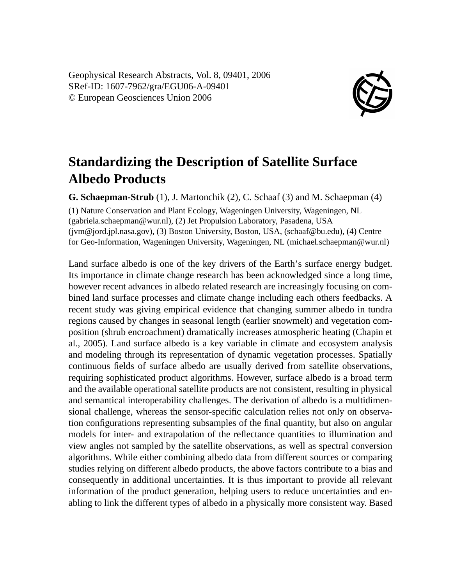Geophysical Research Abstracts, Vol. 8, 09401, 2006 SRef-ID: 1607-7962/gra/EGU06-A-09401 © European Geosciences Union 2006



## **Standardizing the Description of Satellite Surface Albedo Products**

**G. Schaepman-Strub** (1), J. Martonchik (2), C. Schaaf (3) and M. Schaepman (4) (1) Nature Conservation and Plant Ecology, Wageningen University, Wageningen, NL (gabriela.schaepman@wur.nl), (2) Jet Propulsion Laboratory, Pasadena, USA (jvm@jord.jpl.nasa.gov), (3) Boston University, Boston, USA, (schaaf@bu.edu), (4) Centre for Geo-Information, Wageningen University, Wageningen, NL (michael.schaepman@wur.nl)

Land surface albedo is one of the key drivers of the Earth's surface energy budget. Its importance in climate change research has been acknowledged since a long time, however recent advances in albedo related research are increasingly focusing on combined land surface processes and climate change including each others feedbacks. A recent study was giving empirical evidence that changing summer albedo in tundra regions caused by changes in seasonal length (earlier snowmelt) and vegetation composition (shrub encroachment) dramatically increases atmospheric heating (Chapin et al., 2005). Land surface albedo is a key variable in climate and ecosystem analysis and modeling through its representation of dynamic vegetation processes. Spatially continuous fields of surface albedo are usually derived from satellite observations, requiring sophisticated product algorithms. However, surface albedo is a broad term and the available operational satellite products are not consistent, resulting in physical and semantical interoperability challenges. The derivation of albedo is a multidimensional challenge, whereas the sensor-specific calculation relies not only on observation configurations representing subsamples of the final quantity, but also on angular models for inter- and extrapolation of the reflectance quantities to illumination and view angles not sampled by the satellite observations, as well as spectral conversion algorithms. While either combining albedo data from different sources or comparing studies relying on different albedo products, the above factors contribute to a bias and consequently in additional uncertainties. It is thus important to provide all relevant information of the product generation, helping users to reduce uncertainties and enabling to link the different types of albedo in a physically more consistent way. Based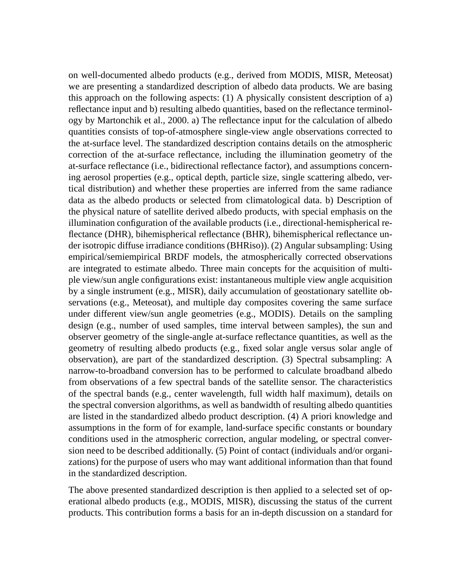on well-documented albedo products (e.g., derived from MODIS, MISR, Meteosat) we are presenting a standardized description of albedo data products. We are basing this approach on the following aspects: (1) A physically consistent description of a) reflectance input and b) resulting albedo quantities, based on the reflectance terminology by Martonchik et al., 2000. a) The reflectance input for the calculation of albedo quantities consists of top-of-atmosphere single-view angle observations corrected to the at-surface level. The standardized description contains details on the atmospheric correction of the at-surface reflectance, including the illumination geometry of the at-surface reflectance (i.e., bidirectional reflectance factor), and assumptions concerning aerosol properties (e.g., optical depth, particle size, single scattering albedo, vertical distribution) and whether these properties are inferred from the same radiance data as the albedo products or selected from climatological data. b) Description of the physical nature of satellite derived albedo products, with special emphasis on the illumination configuration of the available products (i.e., directional-hemispherical reflectance (DHR), bihemispherical reflectance (BHR), bihemispherical reflectance under isotropic diffuse irradiance conditions (BHRiso)). (2) Angular subsampling: Using empirical/semiempirical BRDF models, the atmospherically corrected observations are integrated to estimate albedo. Three main concepts for the acquisition of multiple view/sun angle configurations exist: instantaneous multiple view angle acquisition by a single instrument (e.g., MISR), daily accumulation of geostationary satellite observations (e.g., Meteosat), and multiple day composites covering the same surface under different view/sun angle geometries (e.g., MODIS). Details on the sampling design (e.g., number of used samples, time interval between samples), the sun and observer geometry of the single-angle at-surface reflectance quantities, as well as the geometry of resulting albedo products (e.g., fixed solar angle versus solar angle of observation), are part of the standardized description. (3) Spectral subsampling: A narrow-to-broadband conversion has to be performed to calculate broadband albedo from observations of a few spectral bands of the satellite sensor. The characteristics of the spectral bands (e.g., center wavelength, full width half maximum), details on the spectral conversion algorithms, as well as bandwidth of resulting albedo quantities are listed in the standardized albedo product description. (4) A priori knowledge and assumptions in the form of for example, land-surface specific constants or boundary conditions used in the atmospheric correction, angular modeling, or spectral conversion need to be described additionally. (5) Point of contact (individuals and/or organizations) for the purpose of users who may want additional information than that found in the standardized description.

The above presented standardized description is then applied to a selected set of operational albedo products (e.g., MODIS, MISR), discussing the status of the current products. This contribution forms a basis for an in-depth discussion on a standard for